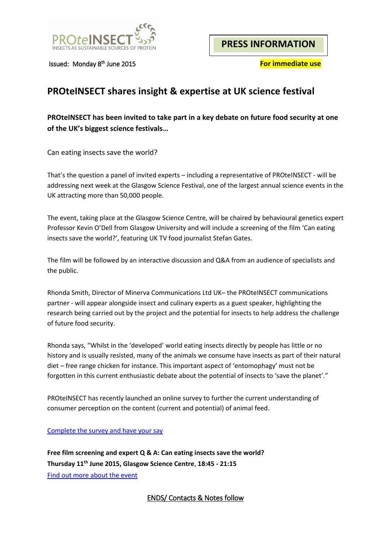

Issued: Monday 8<sup>th</sup> June 2015

**For immediate use** 

# **PROteINSECT shares insight & expertise at UK science festival**

# **PROteINSECT has been invited to take part in a key debate on future food security at one of the UK's biggest science festivals…**

Can eating insects save the world?

That's the question a panel of invited experts – including a representative of PROteINSECT - will be addressing next week at the Glasgow Science Festival, one of the largest annual science events in the UK attracting more than 50,000 people.

The event, taking place at the Glasgow Science Centre, will be chaired by behavioural genetics expert Professor Kevin O'Dell from Glasgow University and will include a screening of the film 'Can eating insects save the world?', featuring UK TV food journalist Stefan Gates.

The film will be followed by an interactive discussion and Q&A from an audience of specialists and the public.

Rhonda Smith, Director of Minerva Communications Ltd UK– the PROteINSECT communications partner - will appear alongside insect and culinary experts as a guest speaker, highlighting the research being carried out by the project and the potential for insects to help address the challenge of future food security.

Rhonda says, "Whilst in the 'developed' world eating insects directly by people has little or no history and is usually resisted, many of the animals we consume have insects as part of their natural diet – free range chicken for instance. This important aspect of 'entomophagy' must not be forgotten in this current enthusiastic debate about the potential of insects to 'save the planet'."

PROteINSECT has recently launched an online survey to further the current understanding of consumer perception on the content (current and potential) of animal feed.

[Complete the survey and have your say](https://docs.google.com/forms/d/1Z7FQoaXll-VYdsTyzDtcLG5brDpJvTsNendNyBdFoT4/viewform?c=0&w=1)

**Free film screening and expert Q & A: Can eating insects save the world? Thursday 11th June 2015, Glasgow Science Centre**, **18:45 - 21:15** [Find out more about the event](https://societyofbiology.org/events/event_caneatinginsectssavetheworld)

ENDS/ Contacts & Notes follow